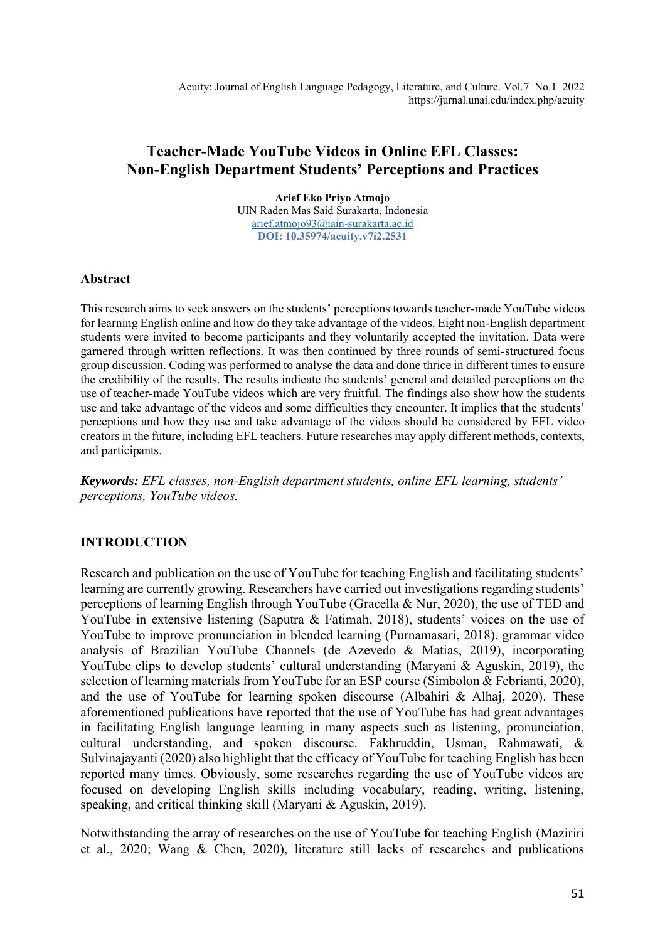# **Teacher-Made YouTube Videos in Online EFL Classes: Non-English Department Students' Perceptions and Practices**

**Arief Eko Priyo Atmojo** UIN Raden Mas Said Surakarta, Indonesia [arief.atmojo93@iain-surakarta.ac.id](mailto:arief.atmojo93@iain-surakarta.ac.id) **DOI: 10.35974/acuity.v7i2.2531**

#### **Abstract**

This research aims to seek answers on the students' perceptions towards teacher-made YouTube videos for learning English online and how do they take advantage of the videos. Eight non-English department students were invited to become participants and they voluntarily accepted the invitation. Data were garnered through written reflections. It was then continued by three rounds of semi-structured focus group discussion. Coding was performed to analyse the data and done thrice in different times to ensure the credibility of the results. The results indicate the students' general and detailed perceptions on the use of teacher-made YouTube videos which are very fruitful. The findings also show how the students use and take advantage of the videos and some difficulties they encounter. It implies that the students' perceptions and how they use and take advantage of the videos should be considered by EFL video creators in the future, including EFL teachers. Future researches may apply different methods, contexts, and participants.

*Keywords: EFL classes, non-English department students, online EFL learning, students' perceptions, YouTube videos.*

## **INTRODUCTION**

Research and publication on the use of YouTube for teaching English and facilitating students' learning are currently growing. Researchers have carried out investigations regarding students' perceptions of learning English through YouTube (Gracella & Nur, 2020), the use of TED and YouTube in extensive listening (Saputra & Fatimah, 2018), students' voices on the use of YouTube to improve pronunciation in blended learning (Purnamasari, 2018), grammar video analysis of Brazilian YouTube Channels (de Azevedo & Matias, 2019), incorporating YouTube clips to develop students' cultural understanding (Maryani & Aguskin, 2019), the selection of learning materials from YouTube for an ESP course (Simbolon & Febrianti, 2020), and the use of YouTube for learning spoken discourse (Albahiri & Alhaj, 2020). These aforementioned publications have reported that the use of YouTube has had great advantages in facilitating English language learning in many aspects such as listening, pronunciation, cultural understanding, and spoken discourse. Fakhruddin, Usman, Rahmawati, & Sulvinajayanti (2020) also highlight that the efficacy of YouTube for teaching English has been reported many times. Obviously, some researches regarding the use of YouTube videos are focused on developing English skills including vocabulary, reading, writing, listening, speaking, and critical thinking skill (Maryani & Aguskin, 2019).

Notwithstanding the array of researches on the use of YouTube for teaching English (Maziriri et al., 2020; Wang & Chen, 2020), literature still lacks of researches and publications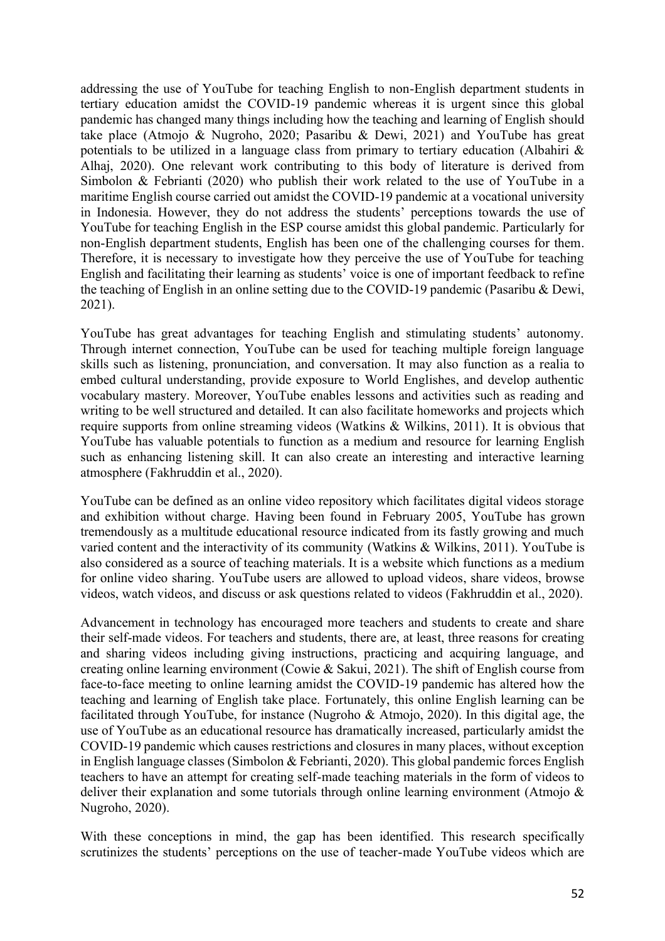addressing the use of YouTube for teaching English to non-English department students in tertiary education amidst the COVID-19 pandemic whereas it is urgent since this global pandemic has changed many things including how the teaching and learning of English should take place (Atmojo & Nugroho, 2020; Pasaribu & Dewi, 2021) and YouTube has great potentials to be utilized in a language class from primary to tertiary education (Albahiri & Alhaj, 2020). One relevant work contributing to this body of literature is derived from Simbolon & Febrianti (2020) who publish their work related to the use of YouTube in a maritime English course carried out amidst the COVID-19 pandemic at a vocational university in Indonesia. However, they do not address the students' perceptions towards the use of YouTube for teaching English in the ESP course amidst this global pandemic. Particularly for non-English department students, English has been one of the challenging courses for them. Therefore, it is necessary to investigate how they perceive the use of YouTube for teaching English and facilitating their learning as students' voice is one of important feedback to refine the teaching of English in an online setting due to the COVID-19 pandemic (Pasaribu & Dewi, 2021).

YouTube has great advantages for teaching English and stimulating students' autonomy. Through internet connection, YouTube can be used for teaching multiple foreign language skills such as listening, pronunciation, and conversation. It may also function as a realia to embed cultural understanding, provide exposure to World Englishes, and develop authentic vocabulary mastery. Moreover, YouTube enables lessons and activities such as reading and writing to be well structured and detailed. It can also facilitate homeworks and projects which require supports from online streaming videos (Watkins & Wilkins, 2011). It is obvious that YouTube has valuable potentials to function as a medium and resource for learning English such as enhancing listening skill. It can also create an interesting and interactive learning atmosphere (Fakhruddin et al., 2020).

YouTube can be defined as an online video repository which facilitates digital videos storage and exhibition without charge. Having been found in February 2005, YouTube has grown tremendously as a multitude educational resource indicated from its fastly growing and much varied content and the interactivity of its community (Watkins & Wilkins, 2011). YouTube is also considered as a source of teaching materials. It is a website which functions as a medium for online video sharing. YouTube users are allowed to upload videos, share videos, browse videos, watch videos, and discuss or ask questions related to videos (Fakhruddin et al., 2020).

Advancement in technology has encouraged more teachers and students to create and share their self-made videos. For teachers and students, there are, at least, three reasons for creating and sharing videos including giving instructions, practicing and acquiring language, and creating online learning environment (Cowie & Sakui, 2021). The shift of English course from face-to-face meeting to online learning amidst the COVID-19 pandemic has altered how the teaching and learning of English take place. Fortunately, this online English learning can be facilitated through YouTube, for instance (Nugroho & Atmojo, 2020). In this digital age, the use of YouTube as an educational resource has dramatically increased, particularly amidst the COVID-19 pandemic which causes restrictions and closures in many places, without exception in English language classes (Simbolon & Febrianti, 2020). This global pandemic forces English teachers to have an attempt for creating self-made teaching materials in the form of videos to deliver their explanation and some tutorials through online learning environment (Atmojo & Nugroho, 2020).

With these conceptions in mind, the gap has been identified. This research specifically scrutinizes the students' perceptions on the use of teacher-made YouTube videos which are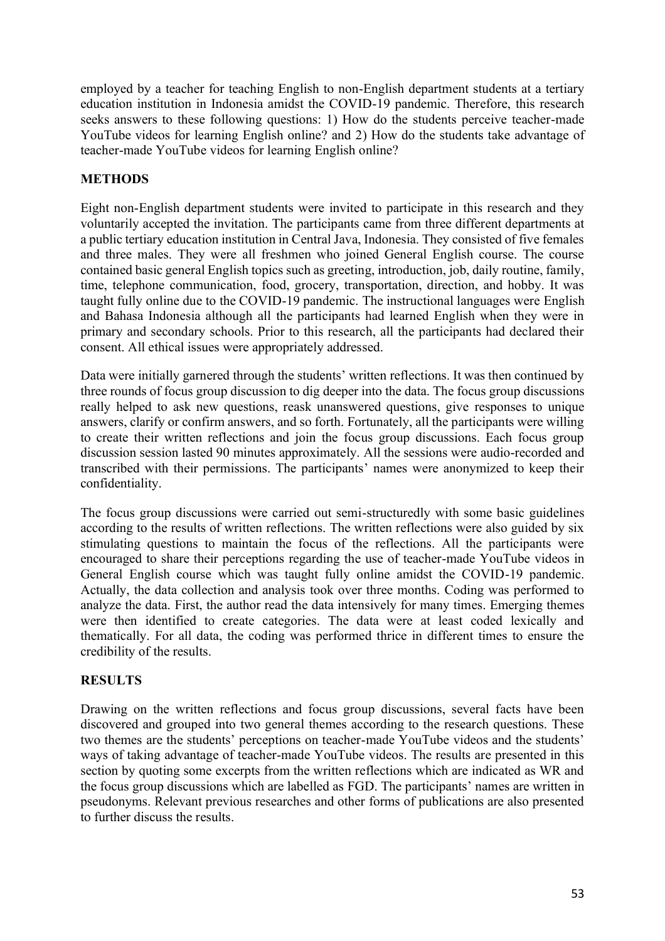employed by a teacher for teaching English to non-English department students at a tertiary education institution in Indonesia amidst the COVID-19 pandemic. Therefore, this research seeks answers to these following questions: 1) How do the students perceive teacher-made YouTube videos for learning English online? and 2) How do the students take advantage of teacher-made YouTube videos for learning English online?

## **METHODS**

Eight non-English department students were invited to participate in this research and they voluntarily accepted the invitation. The participants came from three different departments at a public tertiary education institution in Central Java, Indonesia. They consisted of five females and three males. They were all freshmen who joined General English course. The course contained basic general English topics such as greeting, introduction, job, daily routine, family, time, telephone communication, food, grocery, transportation, direction, and hobby. It was taught fully online due to the COVID-19 pandemic. The instructional languages were English and Bahasa Indonesia although all the participants had learned English when they were in primary and secondary schools. Prior to this research, all the participants had declared their consent. All ethical issues were appropriately addressed.

Data were initially garnered through the students' written reflections. It was then continued by three rounds of focus group discussion to dig deeper into the data. The focus group discussions really helped to ask new questions, reask unanswered questions, give responses to unique answers, clarify or confirm answers, and so forth. Fortunately, all the participants were willing to create their written reflections and join the focus group discussions. Each focus group discussion session lasted 90 minutes approximately. All the sessions were audio-recorded and transcribed with their permissions. The participants' names were anonymized to keep their confidentiality.

The focus group discussions were carried out semi-structuredly with some basic guidelines according to the results of written reflections. The written reflections were also guided by six stimulating questions to maintain the focus of the reflections. All the participants were encouraged to share their perceptions regarding the use of teacher-made YouTube videos in General English course which was taught fully online amidst the COVID-19 pandemic. Actually, the data collection and analysis took over three months. Coding was performed to analyze the data. First, the author read the data intensively for many times. Emerging themes were then identified to create categories. The data were at least coded lexically and thematically. For all data, the coding was performed thrice in different times to ensure the credibility of the results.

### **RESULTS**

Drawing on the written reflections and focus group discussions, several facts have been discovered and grouped into two general themes according to the research questions. These two themes are the students' perceptions on teacher-made YouTube videos and the students' ways of taking advantage of teacher-made YouTube videos. The results are presented in this section by quoting some excerpts from the written reflections which are indicated as WR and the focus group discussions which are labelled as FGD. The participants' names are written in pseudonyms. Relevant previous researches and other forms of publications are also presented to further discuss the results.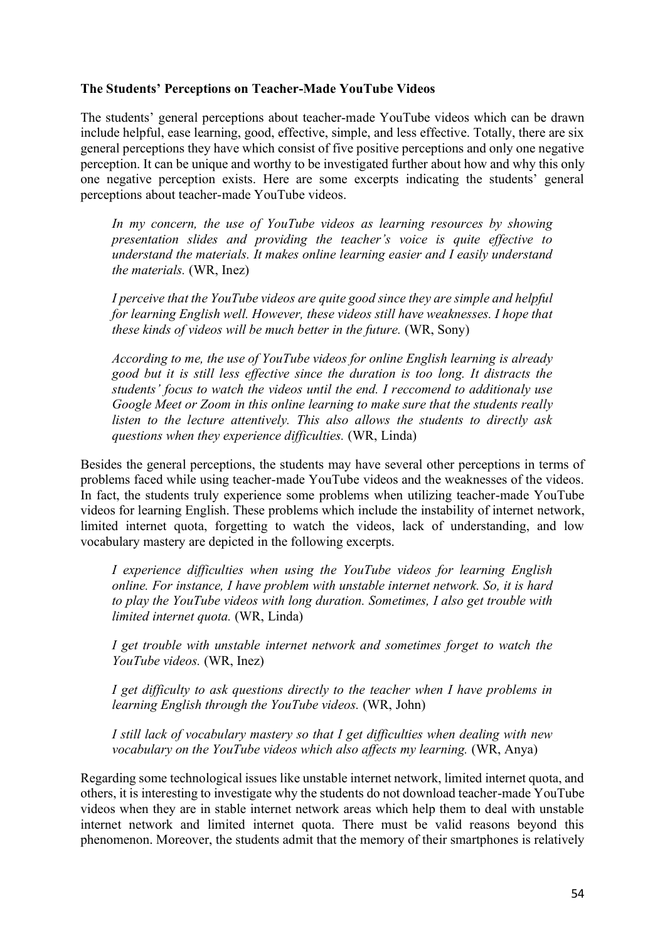#### **The Students' Perceptions on Teacher-Made YouTube Videos**

The students' general perceptions about teacher-made YouTube videos which can be drawn include helpful, ease learning, good, effective, simple, and less effective. Totally, there are six general perceptions they have which consist of five positive perceptions and only one negative perception. It can be unique and worthy to be investigated further about how and why this only one negative perception exists. Here are some excerpts indicating the students' general perceptions about teacher-made YouTube videos.

*In my concern, the use of YouTube videos as learning resources by showing presentation slides and providing the teacher's voice is quite effective to understand the materials. It makes online learning easier and I easily understand the materials.* (WR, Inez)

*I perceive that the YouTube videos are quite good since they are simple and helpful for learning English well. However, these videos still have weaknesses. I hope that these kinds of videos will be much better in the future.* (WR, Sony)

*According to me, the use of YouTube videos for online English learning is already good but it is still less effective since the duration is too long. It distracts the students' focus to watch the videos until the end. I reccomend to additionaly use Google Meet or Zoom in this online learning to make sure that the students really listen to the lecture attentively. This also allows the students to directly ask questions when they experience difficulties.* (WR, Linda)

Besides the general perceptions, the students may have several other perceptions in terms of problems faced while using teacher-made YouTube videos and the weaknesses of the videos. In fact, the students truly experience some problems when utilizing teacher-made YouTube videos for learning English. These problems which include the instability of internet network, limited internet quota, forgetting to watch the videos, lack of understanding, and low vocabulary mastery are depicted in the following excerpts.

*I experience difficulties when using the YouTube videos for learning English online. For instance, I have problem with unstable internet network. So, it is hard to play the YouTube videos with long duration. Sometimes, I also get trouble with limited internet quota.* (WR, Linda)

*I get trouble with unstable internet network and sometimes forget to watch the YouTube videos.* (WR, Inez)

*I get difficulty to ask questions directly to the teacher when I have problems in learning English through the YouTube videos.* (WR, John)

*I still lack of vocabulary mastery so that I get difficulties when dealing with new vocabulary on the YouTube videos which also affects my learning.* (WR, Anya)

Regarding some technological issues like unstable internet network, limited internet quota, and others, it is interesting to investigate why the students do not download teacher-made YouTube videos when they are in stable internet network areas which help them to deal with unstable internet network and limited internet quota. There must be valid reasons beyond this phenomenon. Moreover, the students admit that the memory of their smartphones is relatively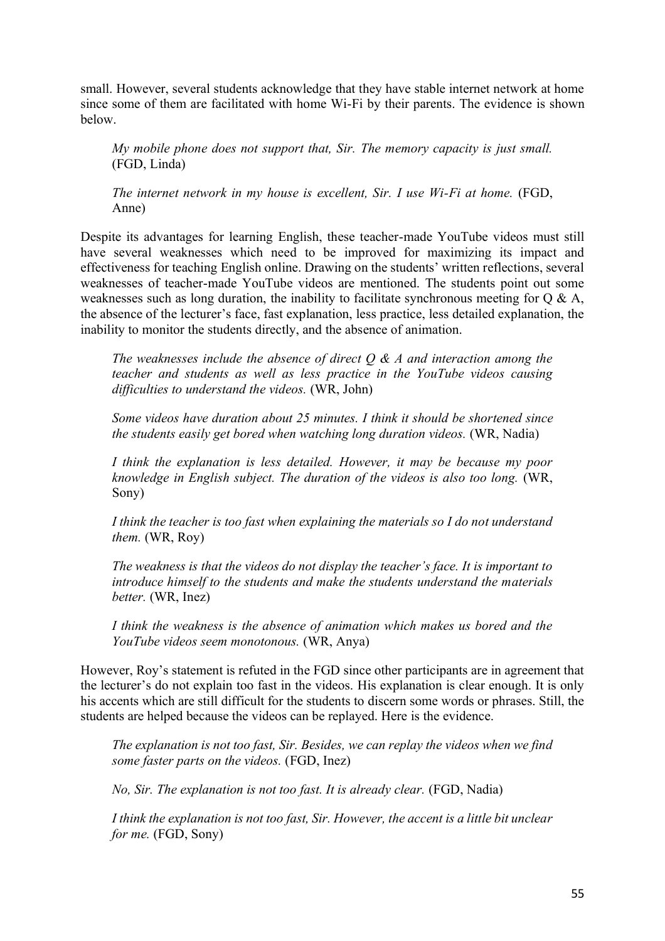small. However, several students acknowledge that they have stable internet network at home since some of them are facilitated with home Wi-Fi by their parents. The evidence is shown below.

*My mobile phone does not support that, Sir. The memory capacity is just small.* (FGD, Linda)

*The internet network in my house is excellent, Sir. I use Wi-Fi at home.* (FGD, Anne)

Despite its advantages for learning English, these teacher-made YouTube videos must still have several weaknesses which need to be improved for maximizing its impact and effectiveness for teaching English online. Drawing on the students' written reflections, several weaknesses of teacher-made YouTube videos are mentioned. The students point out some weaknesses such as long duration, the inability to facilitate synchronous meeting for Q & A, the absence of the lecturer's face, fast explanation, less practice, less detailed explanation, the inability to monitor the students directly, and the absence of animation.

*The weaknesses include the absence of direct Q & A and interaction among the teacher and students as well as less practice in the YouTube videos causing difficulties to understand the videos.* (WR, John)

*Some videos have duration about 25 minutes. I think it should be shortened since the students easily get bored when watching long duration videos.* (WR, Nadia)

*I think the explanation is less detailed. However, it may be because my poor knowledge in English subject. The duration of the videos is also too long.* (WR, Sony)

*I think the teacher is too fast when explaining the materials so I do not understand them.* (WR, Roy)

*The weakness is that the videos do not display the teacher's face. It is important to introduce himself to the students and make the students understand the materials better.* (WR, Inez)

*I think the weakness is the absence of animation which makes us bored and the YouTube videos seem monotonous.* (WR, Anya)

However, Roy's statement is refuted in the FGD since other participants are in agreement that the lecturer's do not explain too fast in the videos. His explanation is clear enough. It is only his accents which are still difficult for the students to discern some words or phrases. Still, the students are helped because the videos can be replayed. Here is the evidence.

*The explanation is not too fast, Sir. Besides, we can replay the videos when we find some faster parts on the videos.* (FGD, Inez)

*No, Sir. The explanation is not too fast. It is already clear.* (FGD, Nadia)

*I think the explanation is not too fast, Sir. However, the accent is a little bit unclear for me.* (FGD, Sony)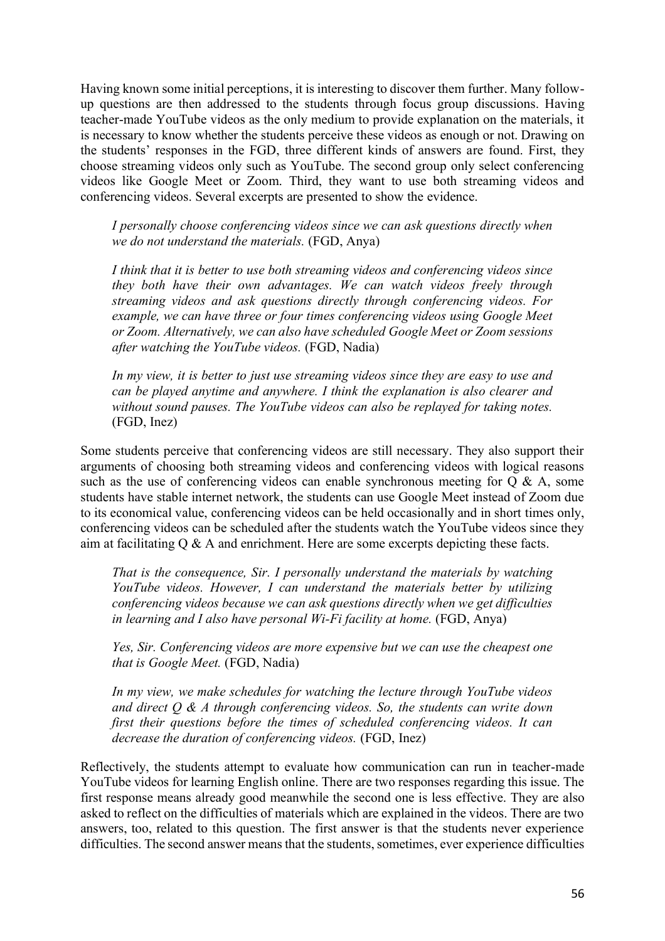Having known some initial perceptions, it is interesting to discover them further. Many followup questions are then addressed to the students through focus group discussions. Having teacher-made YouTube videos as the only medium to provide explanation on the materials, it is necessary to know whether the students perceive these videos as enough or not. Drawing on the students' responses in the FGD, three different kinds of answers are found. First, they choose streaming videos only such as YouTube. The second group only select conferencing videos like Google Meet or Zoom. Third, they want to use both streaming videos and conferencing videos. Several excerpts are presented to show the evidence.

*I personally choose conferencing videos since we can ask questions directly when we do not understand the materials.* (FGD, Anya)

*I think that it is better to use both streaming videos and conferencing videos since they both have their own advantages. We can watch videos freely through streaming videos and ask questions directly through conferencing videos. For example, we can have three or four times conferencing videos using Google Meet or Zoom. Alternatively, we can also have scheduled Google Meet or Zoom sessions after watching the YouTube videos.* (FGD, Nadia)

*In my view, it is better to just use streaming videos since they are easy to use and can be played anytime and anywhere. I think the explanation is also clearer and without sound pauses. The YouTube videos can also be replayed for taking notes.* (FGD, Inez)

Some students perceive that conferencing videos are still necessary. They also support their arguments of choosing both streaming videos and conferencing videos with logical reasons such as the use of conferencing videos can enable synchronous meeting for  $Q \& A$ , some students have stable internet network, the students can use Google Meet instead of Zoom due to its economical value, conferencing videos can be held occasionally and in short times only, conferencing videos can be scheduled after the students watch the YouTube videos since they aim at facilitating Q & A and enrichment. Here are some excerpts depicting these facts.

*That is the consequence, Sir. I personally understand the materials by watching YouTube videos. However, I can understand the materials better by utilizing conferencing videos because we can ask questions directly when we get difficulties in learning and I also have personal Wi-Fi facility at home.* (FGD, Anya)

*Yes, Sir. Conferencing videos are more expensive but we can use the cheapest one that is Google Meet.* (FGD, Nadia)

*In my view, we make schedules for watching the lecture through YouTube videos and direct Q & A through conferencing videos. So, the students can write down first their questions before the times of scheduled conferencing videos. It can decrease the duration of conferencing videos.* (FGD, Inez)

Reflectively, the students attempt to evaluate how communication can run in teacher-made YouTube videos for learning English online. There are two responses regarding this issue. The first response means already good meanwhile the second one is less effective. They are also asked to reflect on the difficulties of materials which are explained in the videos. There are two answers, too, related to this question. The first answer is that the students never experience difficulties. The second answer means that the students, sometimes, ever experience difficulties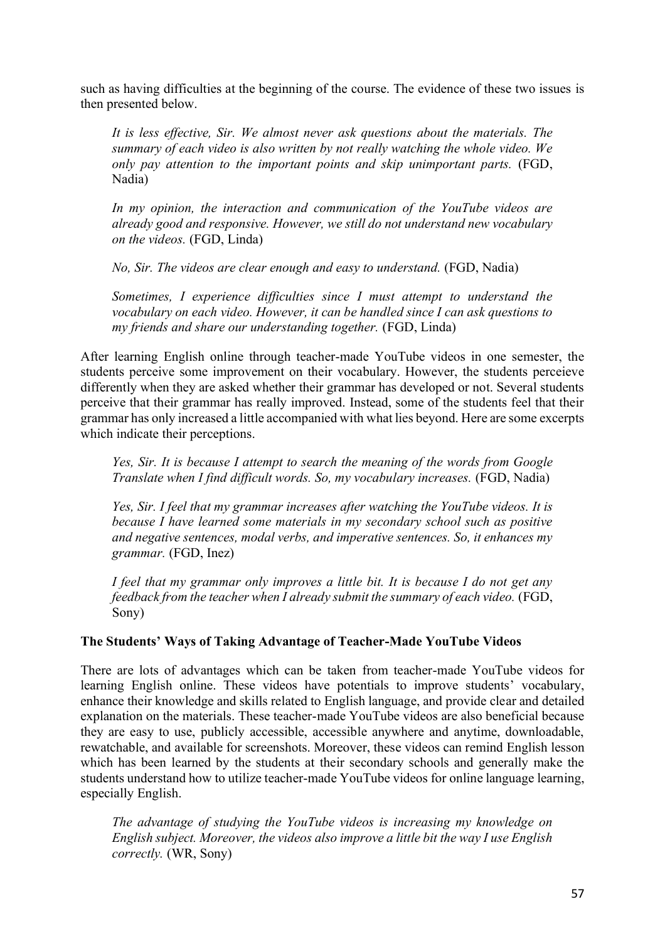such as having difficulties at the beginning of the course. The evidence of these two issues is then presented below.

*It is less effective, Sir. We almost never ask questions about the materials. The summary of each video is also written by not really watching the whole video. We only pay attention to the important points and skip unimportant parts.* (FGD, Nadia)

*In my opinion, the interaction and communication of the YouTube videos are already good and responsive. However, we still do not understand new vocabulary on the videos.* (FGD, Linda)

*No, Sir. The videos are clear enough and easy to understand.* (FGD, Nadia)

*Sometimes, I experience difficulties since I must attempt to understand the vocabulary on each video. However, it can be handled since I can ask questions to my friends and share our understanding together.* (FGD, Linda)

After learning English online through teacher-made YouTube videos in one semester, the students perceive some improvement on their vocabulary. However, the students perceieve differently when they are asked whether their grammar has developed or not. Several students perceive that their grammar has really improved. Instead, some of the students feel that their grammar has only increased a little accompanied with what lies beyond. Here are some excerpts which indicate their perceptions.

*Yes, Sir. It is because I attempt to search the meaning of the words from Google Translate when I find difficult words. So, my vocabulary increases.* (FGD, Nadia)

*Yes, Sir. I feel that my grammar increases after watching the YouTube videos. It is because I have learned some materials in my secondary school such as positive and negative sentences, modal verbs, and imperative sentences. So, it enhances my grammar.* (FGD, Inez)

*I feel that my grammar only improves a little bit. It is because I do not get any feedback from the teacher when I already submit the summary of each video.* (FGD, Sony)

### **The Students' Ways of Taking Advantage of Teacher-Made YouTube Videos**

There are lots of advantages which can be taken from teacher-made YouTube videos for learning English online. These videos have potentials to improve students' vocabulary, enhance their knowledge and skills related to English language, and provide clear and detailed explanation on the materials. These teacher-made YouTube videos are also beneficial because they are easy to use, publicly accessible, accessible anywhere and anytime, downloadable, rewatchable, and available for screenshots. Moreover, these videos can remind English lesson which has been learned by the students at their secondary schools and generally make the students understand how to utilize teacher-made YouTube videos for online language learning, especially English.

*The advantage of studying the YouTube videos is increasing my knowledge on English subject. Moreover, the videos also improve a little bit the way I use English correctly.* (WR, Sony)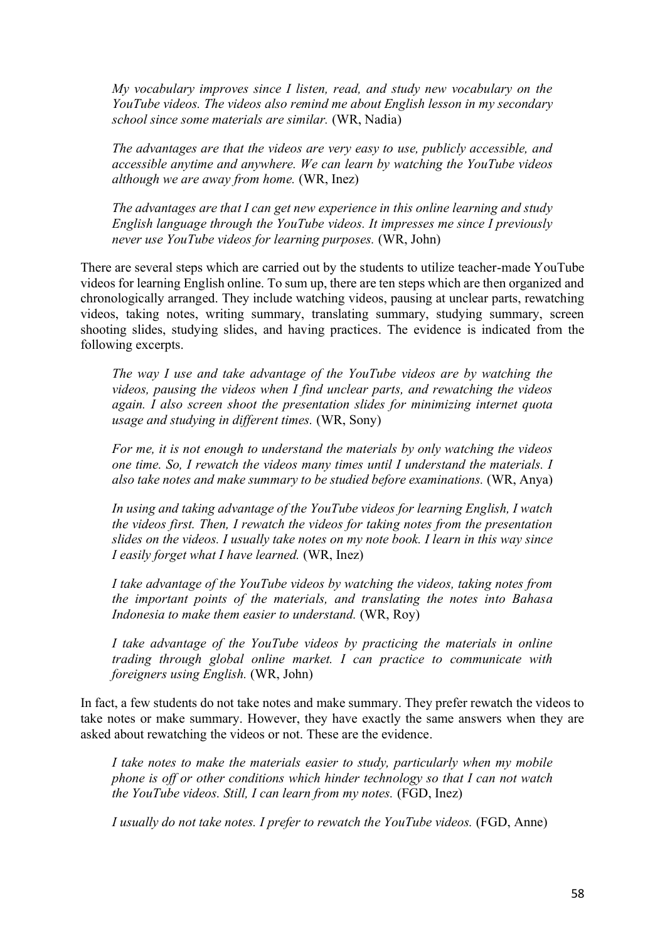*My vocabulary improves since I listen, read, and study new vocabulary on the YouTube videos. The videos also remind me about English lesson in my secondary school since some materials are similar.* (WR, Nadia)

*The advantages are that the videos are very easy to use, publicly accessible, and accessible anytime and anywhere. We can learn by watching the YouTube videos although we are away from home.* (WR, Inez)

*The advantages are that I can get new experience in this online learning and study English language through the YouTube videos. It impresses me since I previously never use YouTube videos for learning purposes.* (WR, John)

There are several steps which are carried out by the students to utilize teacher-made YouTube videos for learning English online. To sum up, there are ten steps which are then organized and chronologically arranged. They include watching videos, pausing at unclear parts, rewatching videos, taking notes, writing summary, translating summary, studying summary, screen shooting slides, studying slides, and having practices. The evidence is indicated from the following excerpts.

*The way I use and take advantage of the YouTube videos are by watching the videos, pausing the videos when I find unclear parts, and rewatching the videos again. I also screen shoot the presentation slides for minimizing internet quota usage and studying in different times.* (WR, Sony)

*For me, it is not enough to understand the materials by only watching the videos one time. So, I rewatch the videos many times until I understand the materials. I also take notes and make summary to be studied before examinations.* (WR, Anya)

*In using and taking advantage of the YouTube videos for learning English, I watch the videos first. Then, I rewatch the videos for taking notes from the presentation slides on the videos. I usually take notes on my note book. I learn in this way since I easily forget what I have learned.* (WR, Inez)

*I take advantage of the YouTube videos by watching the videos, taking notes from the important points of the materials, and translating the notes into Bahasa Indonesia to make them easier to understand.* (WR, Roy)

*I take advantage of the YouTube videos by practicing the materials in online trading through global online market. I can practice to communicate with foreigners using English.* (WR, John)

In fact, a few students do not take notes and make summary. They prefer rewatch the videos to take notes or make summary. However, they have exactly the same answers when they are asked about rewatching the videos or not. These are the evidence.

*I take notes to make the materials easier to study, particularly when my mobile phone is off or other conditions which hinder technology so that I can not watch the YouTube videos. Still, I can learn from my notes.* (FGD, Inez)

*I usually do not take notes. I prefer to rewatch the YouTube videos.* (FGD, Anne)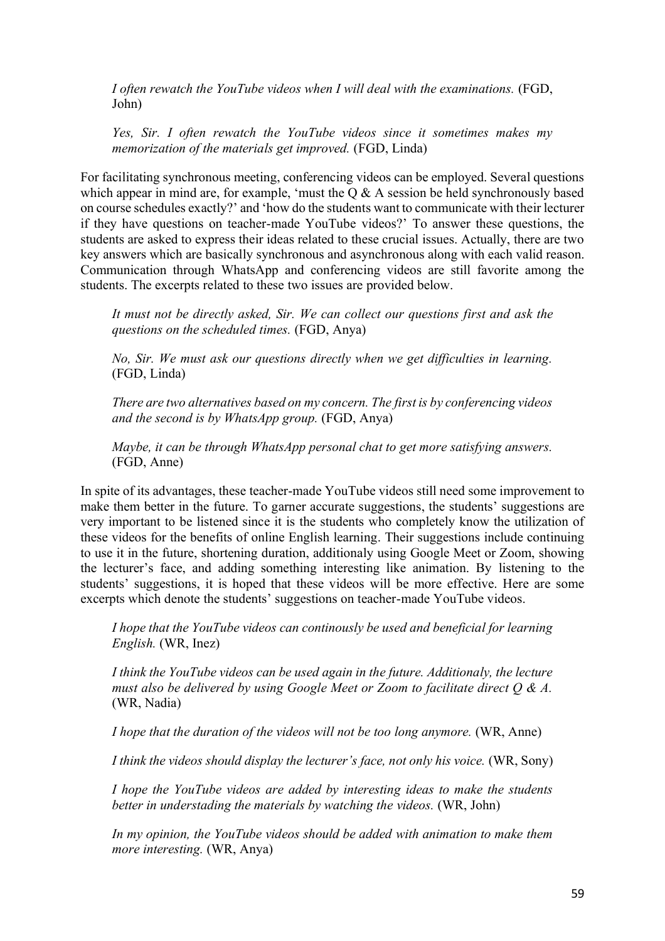*I often rewatch the YouTube videos when I will deal with the examinations.* (FGD, John)

*Yes, Sir. I often rewatch the YouTube videos since it sometimes makes my memorization of the materials get improved.* (FGD, Linda)

For facilitating synchronous meeting, conferencing videos can be employed. Several questions which appear in mind are, for example, 'must the Q & A session be held synchronously based on course schedules exactly?' and 'how do the students want to communicate with their lecturer if they have questions on teacher-made YouTube videos?' To answer these questions, the students are asked to express their ideas related to these crucial issues. Actually, there are two key answers which are basically synchronous and asynchronous along with each valid reason. Communication through WhatsApp and conferencing videos are still favorite among the students. The excerpts related to these two issues are provided below.

*It must not be directly asked, Sir. We can collect our questions first and ask the questions on the scheduled times.* (FGD, Anya)

*No, Sir. We must ask our questions directly when we get difficulties in learning.* (FGD, Linda)

*There are two alternatives based on my concern. The first is by conferencing videos and the second is by WhatsApp group.* (FGD, Anya)

*Maybe, it can be through WhatsApp personal chat to get more satisfying answers.* (FGD, Anne)

In spite of its advantages, these teacher-made YouTube videos still need some improvement to make them better in the future. To garner accurate suggestions, the students' suggestions are very important to be listened since it is the students who completely know the utilization of these videos for the benefits of online English learning. Their suggestions include continuing to use it in the future, shortening duration, additionaly using Google Meet or Zoom, showing the lecturer's face, and adding something interesting like animation. By listening to the students' suggestions, it is hoped that these videos will be more effective. Here are some excerpts which denote the students' suggestions on teacher-made YouTube videos.

*I hope that the YouTube videos can continously be used and beneficial for learning English.* (WR, Inez)

*I think the YouTube videos can be used again in the future. Additionaly, the lecture must also be delivered by using Google Meet or Zoom to facilitate direct Q & A.* (WR, Nadia)

*I hope that the duration of the videos will not be too long anymore.* (WR, Anne)

*I think the videos should display the lecturer's face, not only his voice.* (WR, Sony)

*I hope the YouTube videos are added by interesting ideas to make the students better in understading the materials by watching the videos.* (WR, John)

*In my opinion, the YouTube videos should be added with animation to make them more interesting.* (WR, Anya)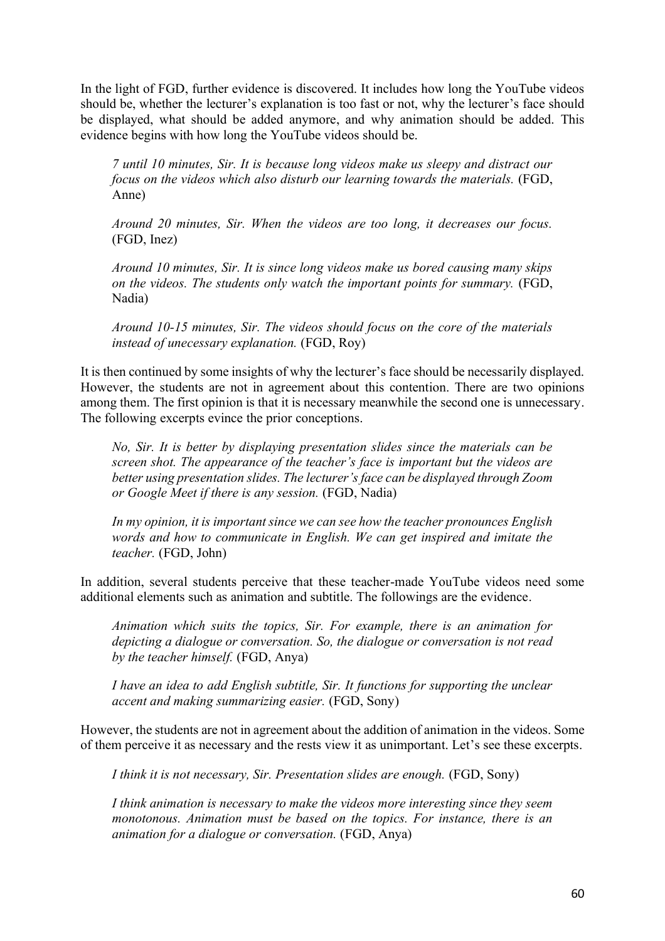In the light of FGD, further evidence is discovered. It includes how long the YouTube videos should be, whether the lecturer's explanation is too fast or not, why the lecturer's face should be displayed, what should be added anymore, and why animation should be added. This evidence begins with how long the YouTube videos should be.

*7 until 10 minutes, Sir. It is because long videos make us sleepy and distract our focus on the videos which also disturb our learning towards the materials.* (FGD, Anne)

*Around 20 minutes, Sir. When the videos are too long, it decreases our focus.* (FGD, Inez)

*Around 10 minutes, Sir. It is since long videos make us bored causing many skips on the videos. The students only watch the important points for summary.* (FGD, Nadia)

*Around 10-15 minutes, Sir. The videos should focus on the core of the materials instead of unecessary explanation.* (FGD, Roy)

It is then continued by some insights of why the lecturer's face should be necessarily displayed. However, the students are not in agreement about this contention. There are two opinions among them. The first opinion is that it is necessary meanwhile the second one is unnecessary. The following excerpts evince the prior conceptions.

*No, Sir. It is better by displaying presentation slides since the materials can be screen shot. The appearance of the teacher's face is important but the videos are better using presentation slides. The lecturer's face can be displayed through Zoom or Google Meet if there is any session.* (FGD, Nadia)

*In my opinion, it is important since we can see how the teacher pronounces English words and how to communicate in English. We can get inspired and imitate the teacher.* (FGD, John)

In addition, several students perceive that these teacher-made YouTube videos need some additional elements such as animation and subtitle. The followings are the evidence.

*Animation which suits the topics, Sir. For example, there is an animation for depicting a dialogue or conversation. So, the dialogue or conversation is not read by the teacher himself.* (FGD, Anya)

*I have an idea to add English subtitle, Sir. It functions for supporting the unclear accent and making summarizing easier.* (FGD, Sony)

However, the students are not in agreement about the addition of animation in the videos. Some of them perceive it as necessary and the rests view it as unimportant. Let's see these excerpts.

*I think it is not necessary, Sir. Presentation slides are enough.* (FGD, Sony)

*I think animation is necessary to make the videos more interesting since they seem monotonous. Animation must be based on the topics. For instance, there is an animation for a dialogue or conversation.* (FGD, Anya)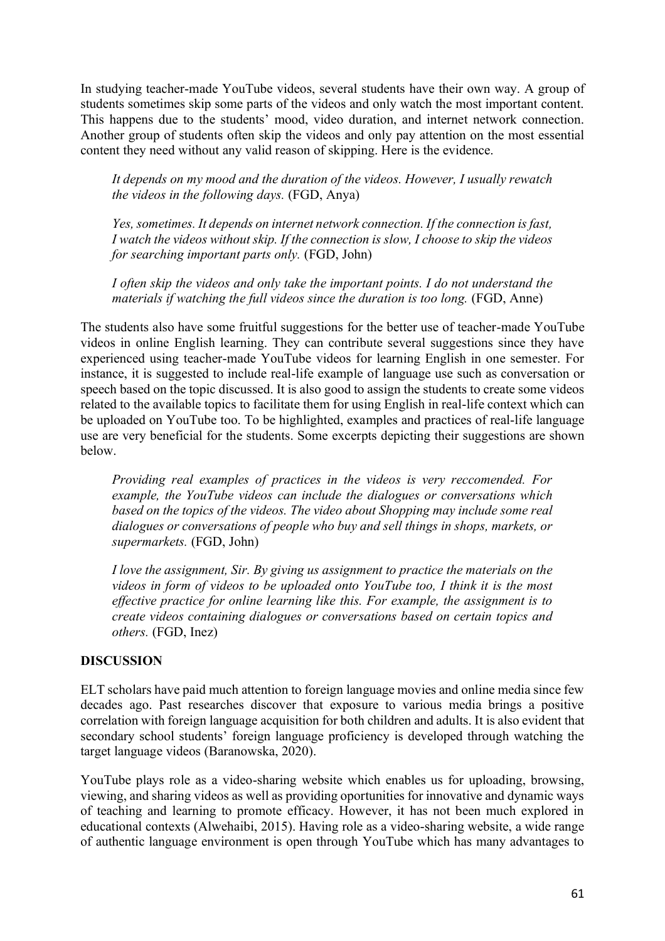In studying teacher-made YouTube videos, several students have their own way. A group of students sometimes skip some parts of the videos and only watch the most important content. This happens due to the students' mood, video duration, and internet network connection. Another group of students often skip the videos and only pay attention on the most essential content they need without any valid reason of skipping. Here is the evidence.

*It depends on my mood and the duration of the videos. However, I usually rewatch the videos in the following days.* (FGD, Anya)

*Yes, sometimes. It depends on internet network connection. If the connection is fast, I watch the videos without skip. If the connection is slow, I choose to skip the videos for searching important parts only.* (FGD, John)

*I often skip the videos and only take the important points. I do not understand the materials if watching the full videos since the duration is too long.* (FGD, Anne)

The students also have some fruitful suggestions for the better use of teacher-made YouTube videos in online English learning. They can contribute several suggestions since they have experienced using teacher-made YouTube videos for learning English in one semester. For instance, it is suggested to include real-life example of language use such as conversation or speech based on the topic discussed. It is also good to assign the students to create some videos related to the available topics to facilitate them for using English in real-life context which can be uploaded on YouTube too. To be highlighted, examples and practices of real-life language use are very beneficial for the students. Some excerpts depicting their suggestions are shown below.

*Providing real examples of practices in the videos is very reccomended. For example, the YouTube videos can include the dialogues or conversations which based on the topics of the videos. The video about Shopping may include some real dialogues or conversations of people who buy and sell things in shops, markets, or supermarkets.* (FGD, John)

*I love the assignment, Sir. By giving us assignment to practice the materials on the videos in form of videos to be uploaded onto YouTube too, I think it is the most effective practice for online learning like this. For example, the assignment is to create videos containing dialogues or conversations based on certain topics and others.* (FGD, Inez)

### **DISCUSSION**

ELT scholars have paid much attention to foreign language movies and online media since few decades ago. Past researches discover that exposure to various media brings a positive correlation with foreign language acquisition for both children and adults. It is also evident that secondary school students' foreign language proficiency is developed through watching the target language videos (Baranowska, 2020).

YouTube plays role as a video-sharing website which enables us for uploading, browsing, viewing, and sharing videos as well as providing oportunities for innovative and dynamic ways of teaching and learning to promote efficacy. However, it has not been much explored in educational contexts (Alwehaibi, 2015). Having role as a video-sharing website, a wide range of authentic language environment is open through YouTube which has many advantages to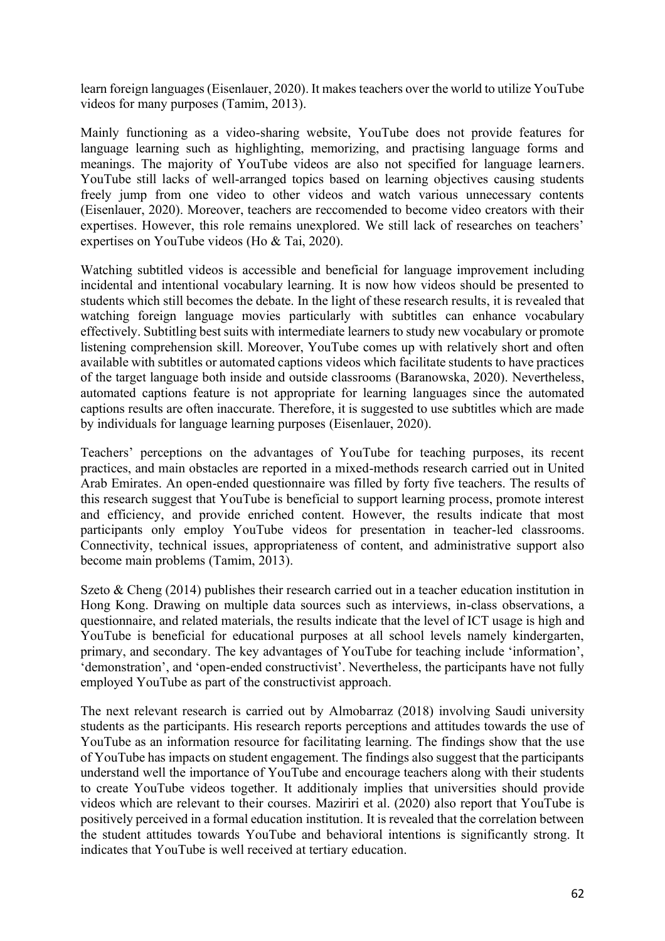learn foreign languages (Eisenlauer, 2020). It makes teachers over the world to utilize YouTube videos for many purposes (Tamim, 2013).

Mainly functioning as a video-sharing website, YouTube does not provide features for language learning such as highlighting, memorizing, and practising language forms and meanings. The majority of YouTube videos are also not specified for language learners. YouTube still lacks of well-arranged topics based on learning objectives causing students freely jump from one video to other videos and watch various unnecessary contents (Eisenlauer, 2020). Moreover, teachers are reccomended to become video creators with their expertises. However, this role remains unexplored. We still lack of researches on teachers' expertises on YouTube videos (Ho & Tai, 2020).

Watching subtitled videos is accessible and beneficial for language improvement including incidental and intentional vocabulary learning. It is now how videos should be presented to students which still becomes the debate. In the light of these research results, it is revealed that watching foreign language movies particularly with subtitles can enhance vocabulary effectively. Subtitling best suits with intermediate learners to study new vocabulary or promote listening comprehension skill. Moreover, YouTube comes up with relatively short and often available with subtitles or automated captions videos which facilitate students to have practices of the target language both inside and outside classrooms (Baranowska, 2020). Nevertheless, automated captions feature is not appropriate for learning languages since the automated captions results are often inaccurate. Therefore, it is suggested to use subtitles which are made by individuals for language learning purposes (Eisenlauer, 2020).

Teachers' perceptions on the advantages of YouTube for teaching purposes, its recent practices, and main obstacles are reported in a mixed-methods research carried out in United Arab Emirates. An open-ended questionnaire was filled by forty five teachers. The results of this research suggest that YouTube is beneficial to support learning process, promote interest and efficiency, and provide enriched content. However, the results indicate that most participants only employ YouTube videos for presentation in teacher-led classrooms. Connectivity, technical issues, appropriateness of content, and administrative support also become main problems (Tamim, 2013).

Szeto & Cheng (2014) publishes their research carried out in a teacher education institution in Hong Kong. Drawing on multiple data sources such as interviews, in-class observations, a questionnaire, and related materials, the results indicate that the level of ICT usage is high and YouTube is beneficial for educational purposes at all school levels namely kindergarten, primary, and secondary. The key advantages of YouTube for teaching include 'information', 'demonstration', and 'open-ended constructivist'. Nevertheless, the participants have not fully employed YouTube as part of the constructivist approach.

The next relevant research is carried out by Almobarraz (2018) involving Saudi university students as the participants. His research reports perceptions and attitudes towards the use of YouTube as an information resource for facilitating learning. The findings show that the use of YouTube has impacts on student engagement. The findings also suggest that the participants understand well the importance of YouTube and encourage teachers along with their students to create YouTube videos together. It additionaly implies that universities should provide videos which are relevant to their courses. Maziriri et al. (2020) also report that YouTube is positively perceived in a formal education institution. It is revealed that the correlation between the student attitudes towards YouTube and behavioral intentions is significantly strong. It indicates that YouTube is well received at tertiary education.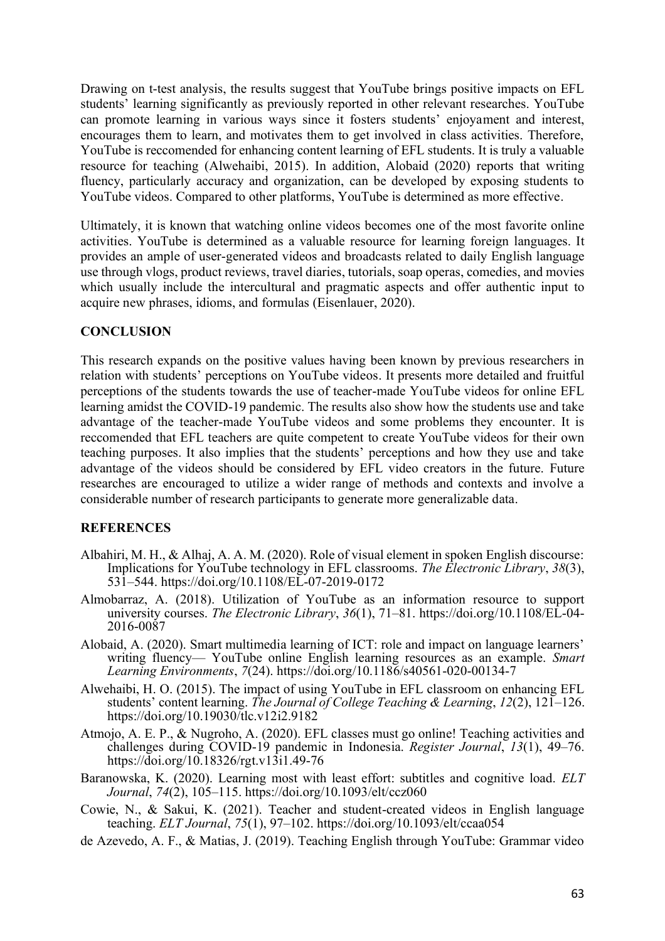Drawing on t-test analysis, the results suggest that YouTube brings positive impacts on EFL students' learning significantly as previously reported in other relevant researches. YouTube can promote learning in various ways since it fosters students' enjoyament and interest, encourages them to learn, and motivates them to get involved in class activities. Therefore, YouTube is reccomended for enhancing content learning of EFL students. It is truly a valuable resource for teaching (Alwehaibi, 2015). In addition, Alobaid (2020) reports that writing fluency, particularly accuracy and organization, can be developed by exposing students to YouTube videos. Compared to other platforms, YouTube is determined as more effective.

Ultimately, it is known that watching online videos becomes one of the most favorite online activities. YouTube is determined as a valuable resource for learning foreign languages. It provides an ample of user-generated videos and broadcasts related to daily English language use through vlogs, product reviews, travel diaries, tutorials, soap operas, comedies, and movies which usually include the intercultural and pragmatic aspects and offer authentic input to acquire new phrases, idioms, and formulas (Eisenlauer, 2020).

#### **CONCLUSION**

This research expands on the positive values having been known by previous researchers in relation with students' perceptions on YouTube videos. It presents more detailed and fruitful perceptions of the students towards the use of teacher-made YouTube videos for online EFL learning amidst the COVID-19 pandemic. The results also show how the students use and take advantage of the teacher-made YouTube videos and some problems they encounter. It is reccomended that EFL teachers are quite competent to create YouTube videos for their own teaching purposes. It also implies that the students' perceptions and how they use and take advantage of the videos should be considered by EFL video creators in the future. Future researches are encouraged to utilize a wider range of methods and contexts and involve a considerable number of research participants to generate more generalizable data.

#### **REFERENCES**

- Albahiri, M. H., & Alhaj, A. A. M. (2020). Role of visual element in spoken English discourse: Implications for YouTube technology in EFL classrooms. *The Electronic Library*, *38*(3), 531–544. https://doi.org/10.1108/EL-07-2019-0172
- Almobarraz, A. (2018). Utilization of YouTube as an information resource to support university courses. *The Electronic Library*, *36*(1), 71–81. https://doi.org/10.1108/EL-04- 2016-0087
- Alobaid, A. (2020). Smart multimedia learning of ICT: role and impact on language learners' writing fluency— YouTube online English learning resources as an example. *Smart Learning Environments*, *7*(24). https://doi.org/10.1186/s40561-020-00134-7
- Alwehaibi, H. O. (2015). The impact of using YouTube in EFL classroom on enhancing EFL students' content learning. *The Journal of College Teaching & Learning*, *12*(2), 121–126. https://doi.org/10.19030/tlc.v12i2.9182
- Atmojo, A. E. P., & Nugroho, A. (2020). EFL classes must go online! Teaching activities and challenges during COVID-19 pandemic in Indonesia. *Register Journal*, *13*(1), 49–76. https://doi.org/10.18326/rgt.v13i1.49-76
- Baranowska, K. (2020). Learning most with least effort: subtitles and cognitive load. *ELT Journal*, *74*(2), 105–115. https://doi.org/10.1093/elt/ccz060
- Cowie, N., & Sakui, K. (2021). Teacher and student-created videos in English language teaching. *ELT Journal*, *75*(1), 97–102. https://doi.org/10.1093/elt/ccaa054
- de Azevedo, A. F., & Matias, J. (2019). Teaching English through YouTube: Grammar video